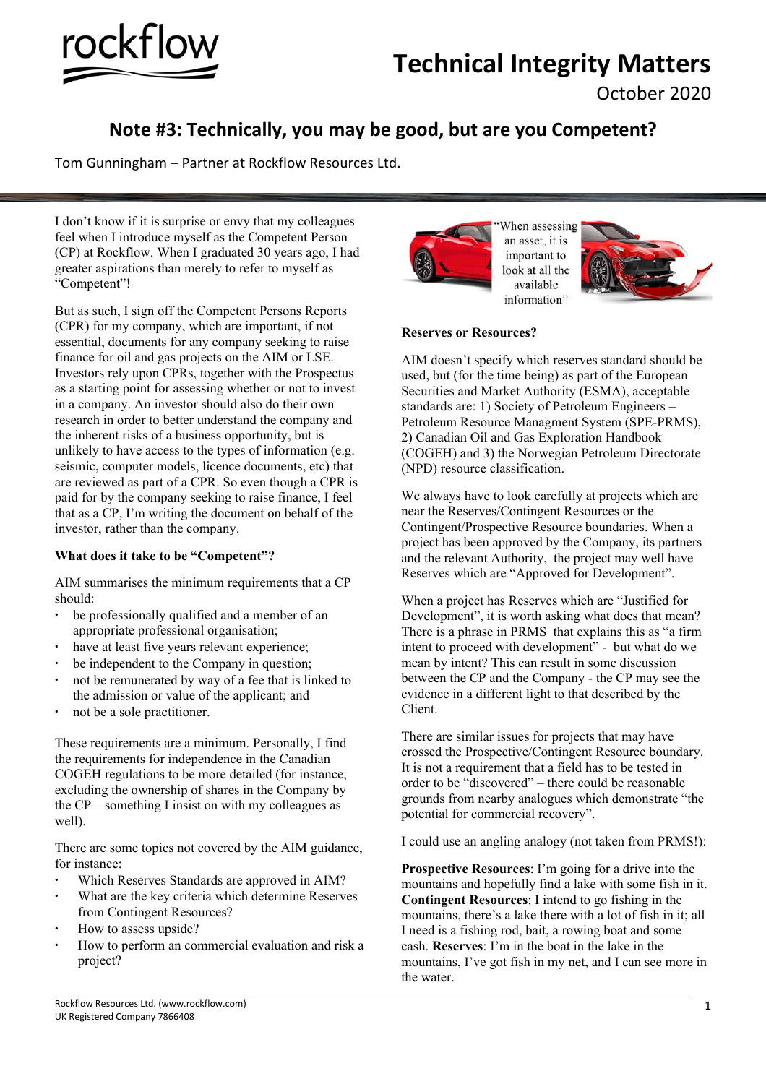

# **Technical Integrity Matters**

October 2020

# **Note #3: Technically, you may be good, but are you Competent?**

Tom Gunningham – Partner at Rockflow Resources Ltd.

I don't know if it is surprise or envy that my colleagues feel when I introduce myself as the Competent Person (CP) at Rockflow. When I graduated 30 years ago, I had greater aspirations than merely to refer to myself as "Competent"!

But as such, I sign off the Competent Persons Reports (CPR) for my company, which are important, if not essential, documents for any company seeking to raise finance for oil and gas projects on the AIM or LSE. Investors rely upon CPRs, together with the Prospectus as a starting point for assessing whether or not to invest in a company. An investor should also do their own research in order to better understand the company and the inherent risks of a business opportunity, but is unlikely to have access to the types of information (e.g. seismic, computer models, licence documents, etc) that are reviewed as part of a CPR. So even though a CPR is paid for by the company seeking to raise finance, I feel that as a CP, I'm writing the document on behalf of the investor, rather than the company.

# **What does it take to be "Competent"?**

AIM summarises the minimum requirements that a CP should:

- be professionally qualified and a member of an appropriate professional organisation;
- have at least five years relevant experience;
- be independent to the Company in question;
- not be remunerated by way of a fee that is linked to the admission or value of the applicant; and
- not be a sole practitioner.

These requirements are a minimum. Personally, I find the requirements for independence in the Canadian COGEH regulations to be more detailed (for instance, excluding the ownership of shares in the Company by the CP – something I insist on with my colleagues as well).

There are some topics not covered by the AIM guidance, for instance:

- Which Reserves Standards are approved in AIM?
- What are the key criteria which determine Reserves from Contingent Resources?
- How to assess upside?
- How to perform an commercial evaluation and risk a project?



When assessing an asset, it is important to look at all the available information'



## **Reserves or Resources?**

AIM doesn't specify which reserves standard should be used, but (for the time being) as part of the European Securities and Market Authority (ESMA), acceptable standards are: 1) Society of Petroleum Engineers – Petroleum Resource Managment System (SPE-PRMS), 2) Canadian Oil and Gas Exploration Handbook (COGEH) and 3) the Norwegian Petroleum Directorate (NPD) resource classification.

We always have to look carefully at projects which are near the Reserves/Contingent Resources or the Contingent/Prospective Resource boundaries. When a project has been approved by the Company, its partners and the relevant Authority, the project may well have Reserves which are "Approved for Development".

When a project has Reserves which are "Justified for Development", it is worth asking what does that mean? There is a phrase in PRMS that explains this as "a firm intent to proceed with development" - but what do we mean by intent? This can result in some discussion between the CP and the Company - the CP may see the evidence in a different light to that described by the Client.

There are similar issues for projects that may have crossed the Prospective/Contingent Resource boundary. It is not a requirement that a field has to be tested in order to be "discovered" – there could be reasonable grounds from nearby analogues which demonstrate "the potential for commercial recovery".

I could use an angling analogy (not taken from PRMS!):

**Prospective Resources**: I'm going for a drive into the mountains and hopefully find a lake with some fish in it. **Contingent Resources**: I intend to go fishing in the mountains, there's a lake there with a lot of fish in it; all I need is a fishing rod, bait, a rowing boat and some cash. **Reserves**: I'm in the boat in the lake in the mountains, I've got fish in my net, and I can see more in the water.